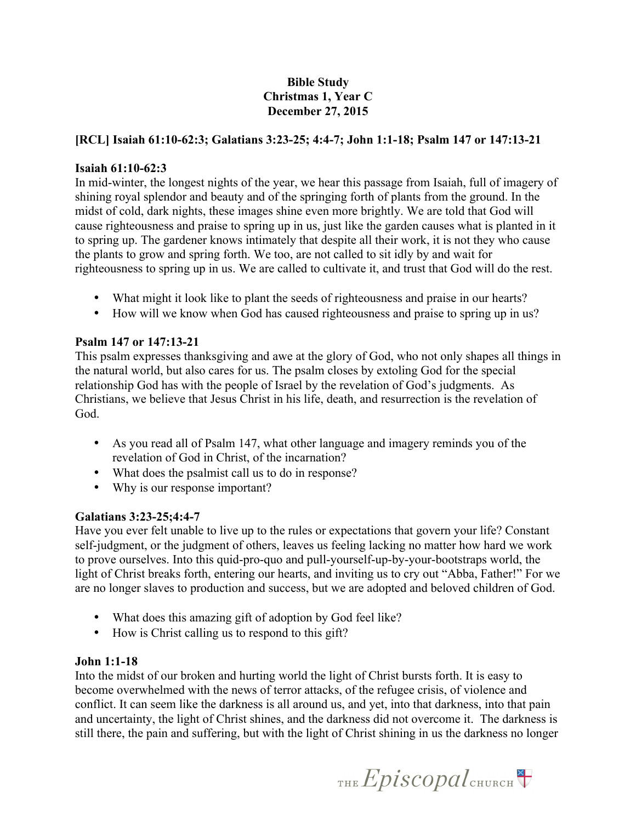# **Bible Study Christmas 1, Year C December 27, 2015**

## **[RCL] Isaiah 61:10-62:3; Galatians 3:23-25; 4:4-7; John 1:1-18; Psalm 147 or 147:13-21**

#### **Isaiah 61:10-62:3**

In mid-winter, the longest nights of the year, we hear this passage from Isaiah, full of imagery of shining royal splendor and beauty and of the springing forth of plants from the ground. In the midst of cold, dark nights, these images shine even more brightly. We are told that God will cause righteousness and praise to spring up in us, just like the garden causes what is planted in it to spring up. The gardener knows intimately that despite all their work, it is not they who cause the plants to grow and spring forth. We too, are not called to sit idly by and wait for righteousness to spring up in us. We are called to cultivate it, and trust that God will do the rest.

- What might it look like to plant the seeds of righteousness and praise in our hearts?
- How will we know when God has caused righteousness and praise to spring up in us?

### **Psalm 147 or 147:13-21**

This psalm expresses thanksgiving and awe at the glory of God, who not only shapes all things in the natural world, but also cares for us. The psalm closes by extoling God for the special relationship God has with the people of Israel by the revelation of God's judgments. As Christians, we believe that Jesus Christ in his life, death, and resurrection is the revelation of God.

- As you read all of Psalm 147, what other language and imagery reminds you of the revelation of God in Christ, of the incarnation?
- What does the psalmist call us to do in response?
- Why is our response important?

### **Galatians 3:23-25;4:4-7**

Have you ever felt unable to live up to the rules or expectations that govern your life? Constant self-judgment, or the judgment of others, leaves us feeling lacking no matter how hard we work to prove ourselves. Into this quid-pro-quo and pull-yourself-up-by-your-bootstraps world, the light of Christ breaks forth, entering our hearts, and inviting us to cry out "Abba, Father!" For we are no longer slaves to production and success, but we are adopted and beloved children of God.

- What does this amazing gift of adoption by God feel like?
- How is Christ calling us to respond to this gift?

### **John 1:1-18**

Into the midst of our broken and hurting world the light of Christ bursts forth. It is easy to become overwhelmed with the news of terror attacks, of the refugee crisis, of violence and conflict. It can seem like the darkness is all around us, and yet, into that darkness, into that pain and uncertainty, the light of Christ shines, and the darkness did not overcome it. The darkness is still there, the pain and suffering, but with the light of Christ shining in us the darkness no longer

THE Episcopal CHURCH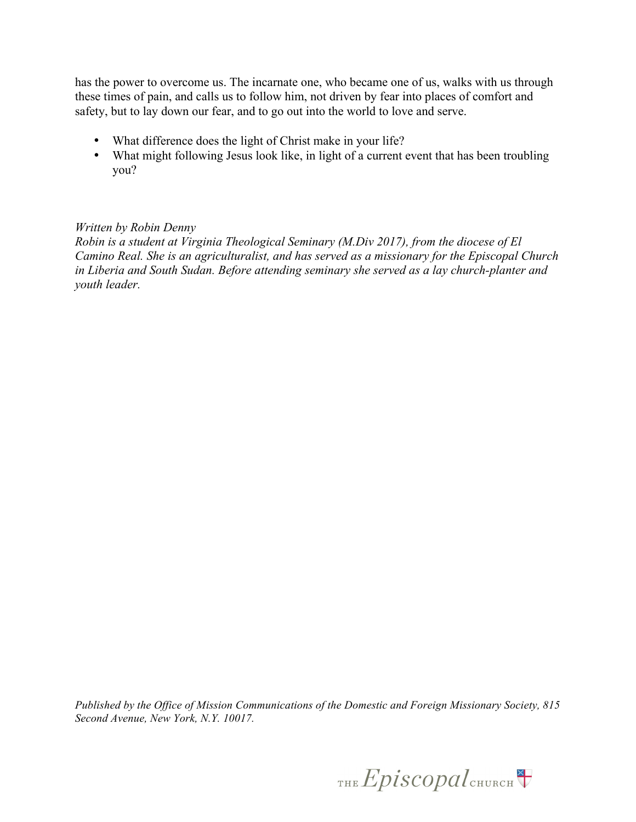has the power to overcome us. The incarnate one, who became one of us, walks with us through these times of pain, and calls us to follow him, not driven by fear into places of comfort and safety, but to lay down our fear, and to go out into the world to love and serve.

- What difference does the light of Christ make in your life?
- What might following Jesus look like, in light of a current event that has been troubling you?

## *Written by Robin Denny*

*Robin is a student at Virginia Theological Seminary (M.Div 2017), from the diocese of El Camino Real. She is an agriculturalist, and has served as a missionary for the Episcopal Church in Liberia and South Sudan. Before attending seminary she served as a lay church-planter and youth leader.*

*Published by the Office of Mission Communications of the Domestic and Foreign Missionary Society, 815 Second Avenue, New York, N.Y. 10017.* 

THE Episcopal CHURCH